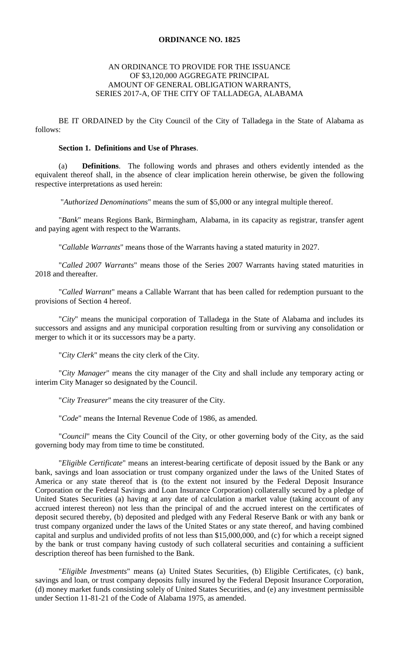### **ORDINANCE NO. 1825**

## AN ORDINANCE TO PROVIDE FOR THE ISSUANCE OF \$3,120,000 AGGREGATE PRINCIPAL AMOUNT OF GENERAL OBLIGATION WARRANTS, SERIES 2017-A, OF THE CITY OF TALLADEGA, ALABAMA

BE IT ORDAINED by the City Council of the City of Talladega in the State of Alabama as follows:

### **Section 1. Definitions and Use of Phrases**.

(a) **Definitions**. The following words and phrases and others evidently intended as the equivalent thereof shall, in the absence of clear implication herein otherwise, be given the following respective interpretations as used herein:

"*Authorized Denominations*" means the sum of \$5,000 or any integral multiple thereof.

"*Bank*" means Regions Bank, Birmingham, Alabama, in its capacity as registrar, transfer agent and paying agent with respect to the Warrants.

"*Callable Warrants*" means those of the Warrants having a stated maturity in 2027.

"*Called 2007 Warrants*" means those of the Series 2007 Warrants having stated maturities in 2018 and thereafter.

"*Called Warrant*" means a Callable Warrant that has been called for redemption pursuant to the provisions of Section 4 hereof.

"*City*" means the municipal corporation of Talladega in the State of Alabama and includes its successors and assigns and any municipal corporation resulting from or surviving any consolidation or merger to which it or its successors may be a party.

"*City Clerk*" means the city clerk of the City.

"*City Manager*" means the city manager of the City and shall include any temporary acting or interim City Manager so designated by the Council.

"*City Treasurer*" means the city treasurer of the City.

"*Code*" means the Internal Revenue Code of 1986, as amended.

"*Council*" means the City Council of the City, or other governing body of the City, as the said governing body may from time to time be constituted.

"*Eligible Certificate*" means an interest-bearing certificate of deposit issued by the Bank or any bank, savings and loan association or trust company organized under the laws of the United States of America or any state thereof that is (to the extent not insured by the Federal Deposit Insurance Corporation or the Federal Savings and Loan Insurance Corporation) collaterally secured by a pledge of United States Securities (a) having at any date of calculation a market value (taking account of any accrued interest thereon) not less than the principal of and the accrued interest on the certificates of deposit secured thereby, (b) deposited and pledged with any Federal Reserve Bank or with any bank or trust company organized under the laws of the United States or any state thereof, and having combined capital and surplus and undivided profits of not less than \$15,000,000, and (c) for which a receipt signed by the bank or trust company having custody of such collateral securities and containing a sufficient description thereof has been furnished to the Bank.

"*Eligible Investments*" means (a) United States Securities, (b) Eligible Certificates, (c) bank, savings and loan, or trust company deposits fully insured by the Federal Deposit Insurance Corporation, (d) money market funds consisting solely of United States Securities, and (e) any investment permissible under Section 11-81-21 of the Code of Alabama 1975, as amended.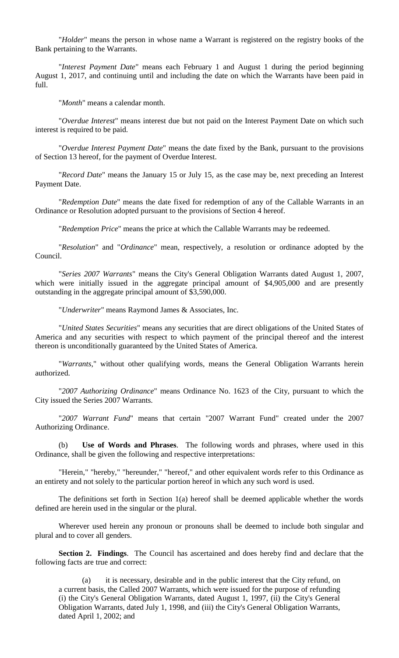"*Holder*" means the person in whose name a Warrant is registered on the registry books of the Bank pertaining to the Warrants.

"*Interest Payment Date*" means each February 1 and August 1 during the period beginning August 1, 2017, and continuing until and including the date on which the Warrants have been paid in full.

"*Month*" means a calendar month.

"*Overdue Interest*" means interest due but not paid on the Interest Payment Date on which such interest is required to be paid.

"*Overdue Interest Payment Date*" means the date fixed by the Bank, pursuant to the provisions of Section 13 hereof, for the payment of Overdue Interest.

"*Record Date*" means the January 15 or July 15, as the case may be, next preceding an Interest Payment Date.

"*Redemption Date*" means the date fixed for redemption of any of the Callable Warrants in an Ordinance or Resolution adopted pursuant to the provisions of Section 4 hereof.

"*Redemption Price*" means the price at which the Callable Warrants may be redeemed.

"*Resolution*" and "*Ordinance*" mean, respectively, a resolution or ordinance adopted by the Council.

"*Series 2007 Warrants*" means the City's General Obligation Warrants dated August 1, 2007, which were initially issued in the aggregate principal amount of \$4,905,000 and are presently outstanding in the aggregate principal amount of \$3,590,000.

"*Underwriter*" means Raymond James & Associates, Inc.

"*United States Securities*" means any securities that are direct obligations of the United States of America and any securities with respect to which payment of the principal thereof and the interest thereon is unconditionally guaranteed by the United States of America.

"*Warrants*," without other qualifying words, means the General Obligation Warrants herein authorized.

"*2007 Authorizing Ordinance*" means Ordinance No. 1623 of the City, pursuant to which the City issued the Series 2007 Warrants.

"*2007 Warrant Fund*" means that certain "2007 Warrant Fund" created under the 2007 Authorizing Ordinance.

(b) **Use of Words and Phrases**. The following words and phrases, where used in this Ordinance, shall be given the following and respective interpretations:

"Herein," "hereby," "hereunder," "hereof," and other equivalent words refer to this Ordinance as an entirety and not solely to the particular portion hereof in which any such word is used.

The definitions set forth in Section 1(a) hereof shall be deemed applicable whether the words defined are herein used in the singular or the plural.

Wherever used herein any pronoun or pronouns shall be deemed to include both singular and plural and to cover all genders.

**Section 2. Findings**. The Council has ascertained and does hereby find and declare that the following facts are true and correct:

(a) it is necessary, desirable and in the public interest that the City refund, on a current basis, the Called 2007 Warrants, which were issued for the purpose of refunding (i) the City's General Obligation Warrants, dated August 1, 1997, (ii) the City's General Obligation Warrants, dated July 1, 1998, and (iii) the City's General Obligation Warrants, dated April 1, 2002; and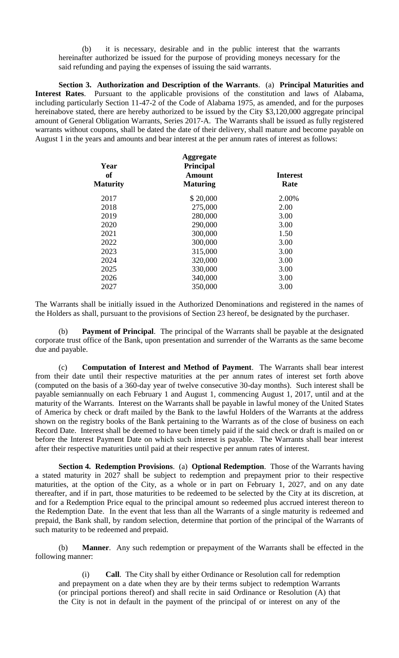(b) it is necessary, desirable and in the public interest that the warrants hereinafter authorized be issued for the purpose of providing moneys necessary for the said refunding and paying the expenses of issuing the said warrants.

**Section 3. Authorization and Description of the Warrants**. (a) **Principal Maturities and Interest Rates**. Pursuant to the applicable provisions of the constitution and laws of Alabama, including particularly Section 11-47-2 of the Code of Alabama 1975, as amended, and for the purposes hereinabove stated, there are hereby authorized to be issued by the City \$3,120,000 aggregate principal amount of General Obligation Warrants, Series 2017-A. The Warrants shall be issued as fully registered warrants without coupons, shall be dated the date of their delivery, shall mature and become payable on August 1 in the years and amounts and bear interest at the per annum rates of interest as follows:

| <b>Aggregate</b><br>Year  |                                                    |  |
|---------------------------|----------------------------------------------------|--|
| Amount<br><b>Maturing</b> | <b>Interest</b><br>Rate                            |  |
|                           | 2.00%                                              |  |
|                           | 2.00                                               |  |
|                           | 3.00                                               |  |
| 290,000                   | 3.00                                               |  |
| 300,000                   | 1.50                                               |  |
| 300,000                   | 3.00                                               |  |
| 315,000                   | 3.00                                               |  |
| 320,000                   | 3.00                                               |  |
| 330,000                   | 3.00                                               |  |
| 340,000                   | 3.00                                               |  |
| 350,000                   | 3.00                                               |  |
|                           | <b>Principal</b><br>\$20,000<br>275,000<br>280,000 |  |

The Warrants shall be initially issued in the Authorized Denominations and registered in the names of the Holders as shall, pursuant to the provisions of Section 23 hereof, be designated by the purchaser.

(b) **Payment of Principal**. The principal of the Warrants shall be payable at the designated corporate trust office of the Bank, upon presentation and surrender of the Warrants as the same become due and payable.

(c) **Computation of Interest and Method of Payment**. The Warrants shall bear interest from their date until their respective maturities at the per annum rates of interest set forth above (computed on the basis of a 360-day year of twelve consecutive 30-day months). Such interest shall be payable semiannually on each February 1 and August 1, commencing August 1, 2017, until and at the maturity of the Warrants. Interest on the Warrants shall be payable in lawful money of the United States of America by check or draft mailed by the Bank to the lawful Holders of the Warrants at the address shown on the registry books of the Bank pertaining to the Warrants as of the close of business on each Record Date. Interest shall be deemed to have been timely paid if the said check or draft is mailed on or before the Interest Payment Date on which such interest is payable. The Warrants shall bear interest after their respective maturities until paid at their respective per annum rates of interest.

**Section 4. Redemption Provisions**. (a) **Optional Redemption**. Those of the Warrants having a stated maturity in 2027 shall be subject to redemption and prepayment prior to their respective maturities, at the option of the City, as a whole or in part on February 1, 2027, and on any date thereafter, and if in part, those maturities to be redeemed to be selected by the City at its discretion, at and for a Redemption Price equal to the principal amount so redeemed plus accrued interest thereon to the Redemption Date. In the event that less than all the Warrants of a single maturity is redeemed and prepaid, the Bank shall, by random selection, determine that portion of the principal of the Warrants of such maturity to be redeemed and prepaid.

(b) **Manner**. Any such redemption or prepayment of the Warrants shall be effected in the following manner:

(i) **Call**. The City shall by either Ordinance or Resolution call for redemption and prepayment on a date when they are by their terms subject to redemption Warrants (or principal portions thereof) and shall recite in said Ordinance or Resolution (A) that the City is not in default in the payment of the principal of or interest on any of the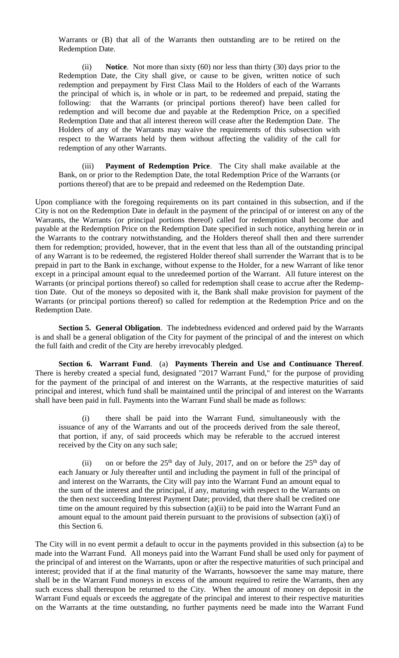Warrants or (B) that all of the Warrants then outstanding are to be retired on the Redemption Date.

(ii) **Notice**. Not more than sixty (60) nor less than thirty (30) days prior to the Redemption Date, the City shall give, or cause to be given, written notice of such redemption and prepayment by First Class Mail to the Holders of each of the Warrants the principal of which is, in whole or in part, to be redeemed and prepaid, stating the following: that the Warrants (or principal portions thereof) have been called for redemption and will become due and payable at the Redemption Price, on a specified Redemption Date and that all interest thereon will cease after the Redemption Date. The Holders of any of the Warrants may waive the requirements of this subsection with respect to the Warrants held by them without affecting the validity of the call for redemption of any other Warrants.

(iii) **Payment of Redemption Price**. The City shall make available at the Bank, on or prior to the Redemption Date, the total Redemption Price of the Warrants (or portions thereof) that are to be prepaid and redeemed on the Redemption Date.

Upon compliance with the foregoing requirements on its part contained in this subsection, and if the City is not on the Redemption Date in default in the payment of the principal of or interest on any of the Warrants, the Warrants (or principal portions thereof) called for redemption shall become due and payable at the Redemption Price on the Redemption Date specified in such notice, anything herein or in the Warrants to the contrary notwithstanding, and the Holders thereof shall then and there surrender them for redemption; provided, however, that in the event that less than all of the outstanding principal of any Warrant is to be redeemed, the registered Holder thereof shall surrender the Warrant that is to be prepaid in part to the Bank in exchange, without expense to the Holder, for a new Warrant of like tenor except in a principal amount equal to the unredeemed portion of the Warrant. All future interest on the Warrants (or principal portions thereof) so called for redemption shall cease to accrue after the Redemption Date. Out of the moneys so deposited with it, the Bank shall make provision for payment of the Warrants (or principal portions thereof) so called for redemption at the Redemption Price and on the Redemption Date.

**Section 5. General Obligation**. The indebtedness evidenced and ordered paid by the Warrants is and shall be a general obligation of the City for payment of the principal of and the interest on which the full faith and credit of the City are hereby irrevocably pledged.

**Section 6. Warrant Fund**. (a) **Payments Therein and Use and Continuance Thereof**. There is hereby created a special fund, designated "2017 Warrant Fund," for the purpose of providing for the payment of the principal of and interest on the Warrants, at the respective maturities of said principal and interest, which fund shall be maintained until the principal of and interest on the Warrants shall have been paid in full. Payments into the Warrant Fund shall be made as follows:

(i) there shall be paid into the Warrant Fund, simultaneously with the issuance of any of the Warrants and out of the proceeds derived from the sale thereof, that portion, if any, of said proceeds which may be referable to the accrued interest received by the City on any such sale;

(ii) on or before the  $25<sup>th</sup>$  day of July, 2017, and on or before the  $25<sup>th</sup>$  day of each January or July thereafter until and including the payment in full of the principal of and interest on the Warrants, the City will pay into the Warrant Fund an amount equal to the sum of the interest and the principal, if any, maturing with respect to the Warrants on the then next succeeding Interest Payment Date; provided, that there shall be credited one time on the amount required by this subsection (a)(ii) to be paid into the Warrant Fund an amount equal to the amount paid therein pursuant to the provisions of subsection (a)(i) of this Section 6.

The City will in no event permit a default to occur in the payments provided in this subsection (a) to be made into the Warrant Fund. All moneys paid into the Warrant Fund shall be used only for payment of the principal of and interest on the Warrants, upon or after the respective maturities of such principal and interest; provided that if at the final maturity of the Warrants, howsoever the same may mature, there shall be in the Warrant Fund moneys in excess of the amount required to retire the Warrants, then any such excess shall thereupon be returned to the City. When the amount of money on deposit in the Warrant Fund equals or exceeds the aggregate of the principal and interest to their respective maturities on the Warrants at the time outstanding, no further payments need be made into the Warrant Fund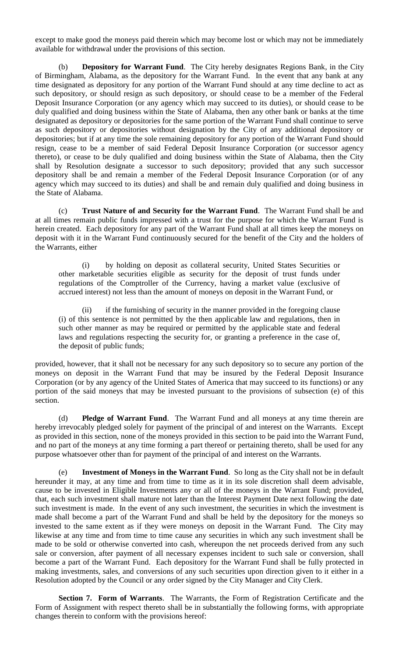except to make good the moneys paid therein which may become lost or which may not be immediately available for withdrawal under the provisions of this section.

(b) **Depository for Warrant Fund**. The City hereby designates Regions Bank, in the City of Birmingham, Alabama, as the depository for the Warrant Fund. In the event that any bank at any time designated as depository for any portion of the Warrant Fund should at any time decline to act as such depository, or should resign as such depository, or should cease to be a member of the Federal Deposit Insurance Corporation (or any agency which may succeed to its duties), or should cease to be duly qualified and doing business within the State of Alabama, then any other bank or banks at the time designated as depository or depositories for the same portion of the Warrant Fund shall continue to serve as such depository or depositories without designation by the City of any additional depository or depositories; but if at any time the sole remaining depository for any portion of the Warrant Fund should resign, cease to be a member of said Federal Deposit Insurance Corporation (or successor agency thereto), or cease to be duly qualified and doing business within the State of Alabama, then the City shall by Resolution designate a successor to such depository; provided that any such successor depository shall be and remain a member of the Federal Deposit Insurance Corporation (or of any agency which may succeed to its duties) and shall be and remain duly qualified and doing business in the State of Alabama.

(c) **Trust Nature of and Security for the Warrant Fund**. The Warrant Fund shall be and at all times remain public funds impressed with a trust for the purpose for which the Warrant Fund is herein created. Each depository for any part of the Warrant Fund shall at all times keep the moneys on deposit with it in the Warrant Fund continuously secured for the benefit of the City and the holders of the Warrants, either

(i) by holding on deposit as collateral security, United States Securities or other marketable securities eligible as security for the deposit of trust funds under regulations of the Comptroller of the Currency, having a market value (exclusive of accrued interest) not less than the amount of moneys on deposit in the Warrant Fund, or

(ii) if the furnishing of security in the manner provided in the foregoing clause (i) of this sentence is not permitted by the then applicable law and regulations, then in such other manner as may be required or permitted by the applicable state and federal laws and regulations respecting the security for, or granting a preference in the case of, the deposit of public funds;

provided, however, that it shall not be necessary for any such depository so to secure any portion of the moneys on deposit in the Warrant Fund that may be insured by the Federal Deposit Insurance Corporation (or by any agency of the United States of America that may succeed to its functions) or any portion of the said moneys that may be invested pursuant to the provisions of subsection (e) of this section.

(d) **Pledge of Warrant Fund**. The Warrant Fund and all moneys at any time therein are hereby irrevocably pledged solely for payment of the principal of and interest on the Warrants. Except as provided in this section, none of the moneys provided in this section to be paid into the Warrant Fund, and no part of the moneys at any time forming a part thereof or pertaining thereto, shall be used for any purpose whatsoever other than for payment of the principal of and interest on the Warrants.

(e) **Investment of Moneys in the Warrant Fund**. So long as the City shall not be in default hereunder it may, at any time and from time to time as it in its sole discretion shall deem advisable, cause to be invested in Eligible Investments any or all of the moneys in the Warrant Fund; provided, that, each such investment shall mature not later than the Interest Payment Date next following the date such investment is made. In the event of any such investment, the securities in which the investment is made shall become a part of the Warrant Fund and shall be held by the depository for the moneys so invested to the same extent as if they were moneys on deposit in the Warrant Fund. The City may likewise at any time and from time to time cause any securities in which any such investment shall be made to be sold or otherwise converted into cash, whereupon the net proceeds derived from any such sale or conversion, after payment of all necessary expenses incident to such sale or conversion, shall become a part of the Warrant Fund. Each depository for the Warrant Fund shall be fully protected in making investments, sales, and conversions of any such securities upon direction given to it either in a Resolution adopted by the Council or any order signed by the City Manager and City Clerk.

**Section 7. Form of Warrants**. The Warrants, the Form of Registration Certificate and the Form of Assignment with respect thereto shall be in substantially the following forms, with appropriate changes therein to conform with the provisions hereof: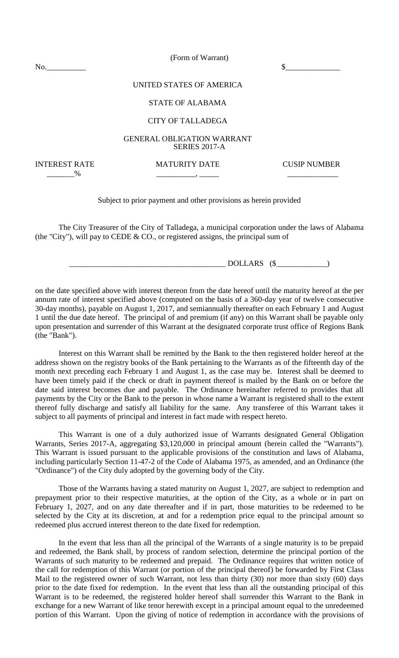(Form of Warrant)

No.\_\_\_\_\_\_\_\_\_\_ \$\_\_\_\_\_\_\_\_\_\_\_\_\_\_

# UNITED STATES OF AMERICA

### STATE OF ALABAMA

### CITY OF TALLADEGA

### GENERAL OBLIGATION WARRANT SERIES 2017-A

INTEREST RATE MATURITY DATE CUSIP NUMBER \_\_\_\_\_\_\_% \_\_\_\_\_\_\_\_\_\_, \_\_\_\_\_ \_\_\_\_\_\_\_\_\_\_\_\_\_

### Subject to prior payment and other provisions as herein provided

The City Treasurer of the City of Talladega, a municipal corporation under the laws of Alabama (the "City"), will pay to CEDE & CO., or registered assigns, the principal sum of

 $\longrightarrow$  DOLLARS (\$ $\longrightarrow$ )

on the date specified above with interest thereon from the date hereof until the maturity hereof at the per annum rate of interest specified above (computed on the basis of a 360-day year of twelve consecutive 30-day months), payable on August 1, 2017, and semiannually thereafter on each February 1 and August 1 until the due date hereof. The principal of and premium (if any) on this Warrant shall be payable only upon presentation and surrender of this Warrant at the designated corporate trust office of Regions Bank (the "Bank").

Interest on this Warrant shall be remitted by the Bank to the then registered holder hereof at the address shown on the registry books of the Bank pertaining to the Warrants as of the fifteenth day of the month next preceding each February 1 and August 1, as the case may be. Interest shall be deemed to have been timely paid if the check or draft in payment thereof is mailed by the Bank on or before the date said interest becomes due and payable. The Ordinance hereinafter referred to provides that all payments by the City or the Bank to the person in whose name a Warrant is registered shall to the extent thereof fully discharge and satisfy all liability for the same. Any transferee of this Warrant takes it subject to all payments of principal and interest in fact made with respect hereto.

This Warrant is one of a duly authorized issue of Warrants designated General Obligation Warrants, Series 2017-A, aggregating \$3,120,000 in principal amount (herein called the "Warrants"). This Warrant is issued pursuant to the applicable provisions of the constitution and laws of Alabama, including particularly Section 11-47-2 of the Code of Alabama 1975, as amended, and an Ordinance (the "Ordinance") of the City duly adopted by the governing body of the City.

Those of the Warrants having a stated maturity on August 1, 2027, are subject to redemption and prepayment prior to their respective maturities, at the option of the City, as a whole or in part on February 1, 2027, and on any date thereafter and if in part, those maturities to be redeemed to be selected by the City at its discretion, at and for a redemption price equal to the principal amount so redeemed plus accrued interest thereon to the date fixed for redemption.

In the event that less than all the principal of the Warrants of a single maturity is to be prepaid and redeemed, the Bank shall, by process of random selection, determine the principal portion of the Warrants of such maturity to be redeemed and prepaid. The Ordinance requires that written notice of the call for redemption of this Warrant (or portion of the principal thereof) be forwarded by First Class Mail to the registered owner of such Warrant, not less than thirty (30) nor more than sixty (60) days prior to the date fixed for redemption. In the event that less than all the outstanding principal of this Warrant is to be redeemed, the registered holder hereof shall surrender this Warrant to the Bank in exchange for a new Warrant of like tenor herewith except in a principal amount equal to the unredeemed portion of this Warrant. Upon the giving of notice of redemption in accordance with the provisions of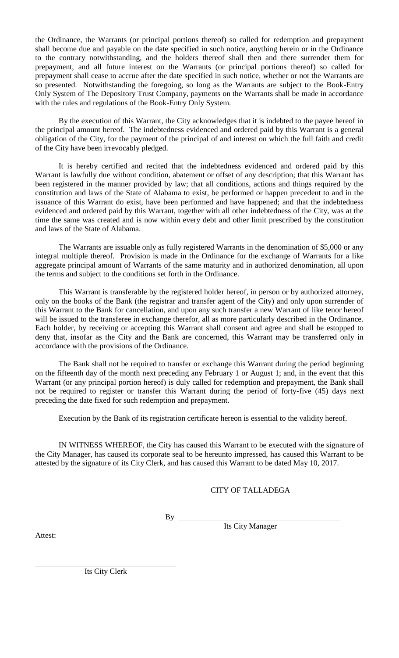the Ordinance, the Warrants (or principal portions thereof) so called for redemption and prepayment shall become due and payable on the date specified in such notice, anything herein or in the Ordinance to the contrary notwithstanding, and the holders thereof shall then and there surrender them for prepayment, and all future interest on the Warrants (or principal portions thereof) so called for prepayment shall cease to accrue after the date specified in such notice, whether or not the Warrants are so presented. Notwithstanding the foregoing, so long as the Warrants are subject to the Book-Entry Only System of The Depository Trust Company, payments on the Warrants shall be made in accordance with the rules and regulations of the Book-Entry Only System.

By the execution of this Warrant, the City acknowledges that it is indebted to the payee hereof in the principal amount hereof. The indebtedness evidenced and ordered paid by this Warrant is a general obligation of the City, for the payment of the principal of and interest on which the full faith and credit of the City have been irrevocably pledged.

It is hereby certified and recited that the indebtedness evidenced and ordered paid by this Warrant is lawfully due without condition, abatement or offset of any description; that this Warrant has been registered in the manner provided by law; that all conditions, actions and things required by the constitution and laws of the State of Alabama to exist, be performed or happen precedent to and in the issuance of this Warrant do exist, have been performed and have happened; and that the indebtedness evidenced and ordered paid by this Warrant, together with all other indebtedness of the City, was at the time the same was created and is now within every debt and other limit prescribed by the constitution and laws of the State of Alabama.

The Warrants are issuable only as fully registered Warrants in the denomination of \$5,000 or any integral multiple thereof. Provision is made in the Ordinance for the exchange of Warrants for a like aggregate principal amount of Warrants of the same maturity and in authorized denomination, all upon the terms and subject to the conditions set forth in the Ordinance.

This Warrant is transferable by the registered holder hereof, in person or by authorized attorney, only on the books of the Bank (the registrar and transfer agent of the City) and only upon surrender of this Warrant to the Bank for cancellation, and upon any such transfer a new Warrant of like tenor hereof will be issued to the transferee in exchange therefor, all as more particularly described in the Ordinance. Each holder, by receiving or accepting this Warrant shall consent and agree and shall be estopped to deny that, insofar as the City and the Bank are concerned, this Warrant may be transferred only in accordance with the provisions of the Ordinance.

The Bank shall not be required to transfer or exchange this Warrant during the period beginning on the fifteenth day of the month next preceding any February 1 or August 1; and, in the event that this Warrant (or any principal portion hereof) is duly called for redemption and prepayment, the Bank shall not be required to register or transfer this Warrant during the period of forty-five (45) days next preceding the date fixed for such redemption and prepayment.

Execution by the Bank of its registration certificate hereon is essential to the validity hereof.

IN WITNESS WHEREOF, the City has caused this Warrant to be executed with the signature of the City Manager, has caused its corporate seal to be hereunto impressed, has caused this Warrant to be attested by the signature of its City Clerk, and has caused this Warrant to be dated May 10, 2017.

## CITY OF TALLADEGA

 $By$ 

Its City Manager

Attest:

Its City Clerk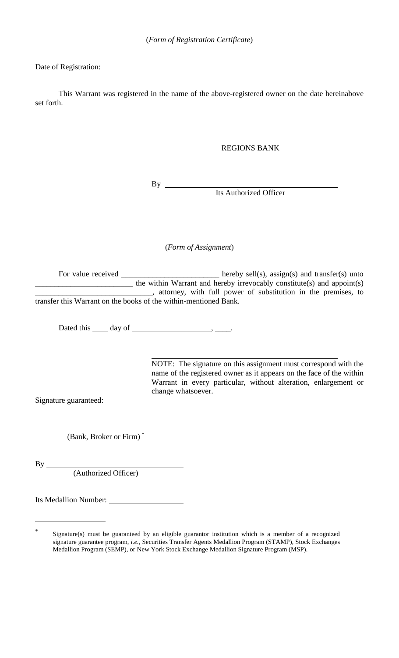## Date of Registration:

This Warrant was registered in the name of the above-registered owner on the date hereinabove set forth.

## REGIONS BANK

 $By \_\_$ 

Its Authorized Officer

(*Form of Assignment*)

For value received \_\_\_\_\_\_\_\_\_\_\_\_\_\_\_\_\_\_\_\_\_\_\_\_\_\_\_\_ hereby sell(s), assign(s) and transfer(s) unto  $\mu$  the within Warrant and hereby irrevocably constitute(s) and appoint(s) \_\_\_\_\_\_\_\_\_\_\_\_\_\_\_\_\_\_\_\_\_\_\_\_\_\_\_\_\_\_, attorney, with full power of substitution in the premises, to transfer this Warrant on the books of the within-mentioned Bank.

Dated this  $\_\_\_$  day of  $\_\_\_\_\_\_\_\_\$ 

NOTE: The signature on this assignment must correspond with the name of the registered owner as it appears on the face of the within Warrant in every particular, without alteration, enlargement or change whatsoever.

Signature guaranteed:

(Bank, Broker or Firm) \*

 $By$ <sub>\_\_\_\_\_</sub>

(Authorized Officer)

Its Medallion Number:

<sup>\*</sup> Signature(s) must be guaranteed by an eligible guarantor institution which is a member of a recognized signature guarantee program, *i.e.*, Securities Transfer Agents Medallion Program (STAMP), Stock Exchanges Medallion Program (SEMP), or New York Stock Exchange Medallion Signature Program (MSP).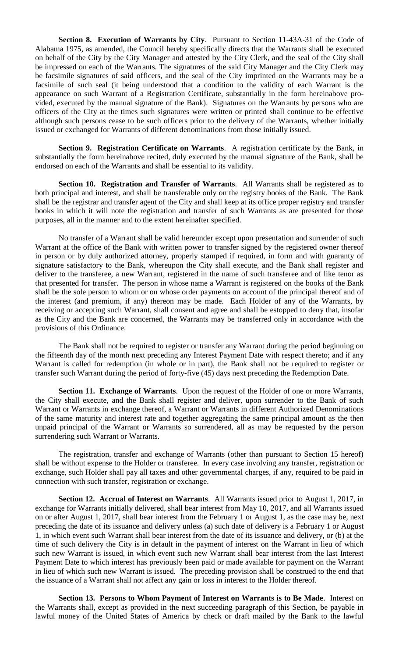**Section 8. Execution of Warrants by City**. Pursuant to Section 11-43A-31 of the Code of Alabama 1975, as amended, the Council hereby specifically directs that the Warrants shall be executed on behalf of the City by the City Manager and attested by the City Clerk, and the seal of the City shall be impressed on each of the Warrants. The signatures of the said City Manager and the City Clerk may be facsimile signatures of said officers, and the seal of the City imprinted on the Warrants may be a facsimile of such seal (it being understood that a condition to the validity of each Warrant is the appearance on such Warrant of a Registration Certificate, substantially in the form hereinabove provided, executed by the manual signature of the Bank). Signatures on the Warrants by persons who are officers of the City at the times such signatures were written or printed shall continue to be effective although such persons cease to be such officers prior to the delivery of the Warrants, whether initially issued or exchanged for Warrants of different denominations from those initially issued.

**Section 9. Registration Certificate on Warrants**. A registration certificate by the Bank, in substantially the form hereinabove recited, duly executed by the manual signature of the Bank, shall be endorsed on each of the Warrants and shall be essential to its validity.

**Section 10. Registration and Transfer of Warrants**. All Warrants shall be registered as to both principal and interest, and shall be transferable only on the registry books of the Bank. The Bank shall be the registrar and transfer agent of the City and shall keep at its office proper registry and transfer books in which it will note the registration and transfer of such Warrants as are presented for those purposes, all in the manner and to the extent hereinafter specified.

No transfer of a Warrant shall be valid hereunder except upon presentation and surrender of such Warrant at the office of the Bank with written power to transfer signed by the registered owner thereof in person or by duly authorized attorney, properly stamped if required, in form and with guaranty of signature satisfactory to the Bank, whereupon the City shall execute, and the Bank shall register and deliver to the transferee, a new Warrant, registered in the name of such transferee and of like tenor as that presented for transfer. The person in whose name a Warrant is registered on the books of the Bank shall be the sole person to whom or on whose order payments on account of the principal thereof and of the interest (and premium, if any) thereon may be made. Each Holder of any of the Warrants, by receiving or accepting such Warrant, shall consent and agree and shall be estopped to deny that, insofar as the City and the Bank are concerned, the Warrants may be transferred only in accordance with the provisions of this Ordinance.

The Bank shall not be required to register or transfer any Warrant during the period beginning on the fifteenth day of the month next preceding any Interest Payment Date with respect thereto; and if any Warrant is called for redemption (in whole or in part), the Bank shall not be required to register or transfer such Warrant during the period of forty-five (45) days next preceding the Redemption Date.

**Section 11. Exchange of Warrants**. Upon the request of the Holder of one or more Warrants, the City shall execute, and the Bank shall register and deliver, upon surrender to the Bank of such Warrant or Warrants in exchange thereof, a Warrant or Warrants in different Authorized Denominations of the same maturity and interest rate and together aggregating the same principal amount as the then unpaid principal of the Warrant or Warrants so surrendered, all as may be requested by the person surrendering such Warrant or Warrants.

The registration, transfer and exchange of Warrants (other than pursuant to Section 15 hereof) shall be without expense to the Holder or transferee. In every case involving any transfer, registration or exchange, such Holder shall pay all taxes and other governmental charges, if any, required to be paid in connection with such transfer, registration or exchange.

**Section 12. Accrual of Interest on Warrants**. All Warrants issued prior to August 1, 2017, in exchange for Warrants initially delivered, shall bear interest from May 10, 2017, and all Warrants issued on or after August 1, 2017, shall bear interest from the February 1 or August 1, as the case may be, next preceding the date of its issuance and delivery unless (a) such date of delivery is a February 1 or August 1, in which event such Warrant shall bear interest from the date of its issuance and delivery, or (b) at the time of such delivery the City is in default in the payment of interest on the Warrant in lieu of which such new Warrant is issued, in which event such new Warrant shall bear interest from the last Interest Payment Date to which interest has previously been paid or made available for payment on the Warrant in lieu of which such new Warrant is issued. The preceding provision shall be construed to the end that the issuance of a Warrant shall not affect any gain or loss in interest to the Holder thereof.

**Section 13. Persons to Whom Payment of Interest on Warrants is to Be Made**. Interest on the Warrants shall, except as provided in the next succeeding paragraph of this Section, be payable in lawful money of the United States of America by check or draft mailed by the Bank to the lawful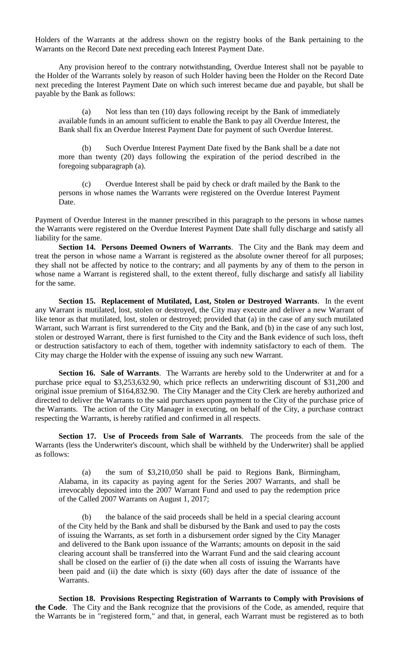Holders of the Warrants at the address shown on the registry books of the Bank pertaining to the Warrants on the Record Date next preceding each Interest Payment Date.

Any provision hereof to the contrary notwithstanding, Overdue Interest shall not be payable to the Holder of the Warrants solely by reason of such Holder having been the Holder on the Record Date next preceding the Interest Payment Date on which such interest became due and payable, but shall be payable by the Bank as follows:

(a) Not less than ten (10) days following receipt by the Bank of immediately available funds in an amount sufficient to enable the Bank to pay all Overdue Interest, the Bank shall fix an Overdue Interest Payment Date for payment of such Overdue Interest.

(b) Such Overdue Interest Payment Date fixed by the Bank shall be a date not more than twenty (20) days following the expiration of the period described in the foregoing subparagraph (a).

(c) Overdue Interest shall be paid by check or draft mailed by the Bank to the persons in whose names the Warrants were registered on the Overdue Interest Payment Date.

Payment of Overdue Interest in the manner prescribed in this paragraph to the persons in whose names the Warrants were registered on the Overdue Interest Payment Date shall fully discharge and satisfy all liability for the same.

**Section 14. Persons Deemed Owners of Warrants**. The City and the Bank may deem and treat the person in whose name a Warrant is registered as the absolute owner thereof for all purposes; they shall not be affected by notice to the contrary; and all payments by any of them to the person in whose name a Warrant is registered shall, to the extent thereof, fully discharge and satisfy all liability for the same.

**Section 15. Replacement of Mutilated, Lost, Stolen or Destroyed Warrants**. In the event any Warrant is mutilated, lost, stolen or destroyed, the City may execute and deliver a new Warrant of like tenor as that mutilated, lost, stolen or destroyed; provided that (a) in the case of any such mutilated Warrant, such Warrant is first surrendered to the City and the Bank, and (b) in the case of any such lost, stolen or destroyed Warrant, there is first furnished to the City and the Bank evidence of such loss, theft or destruction satisfactory to each of them, together with indemnity satisfactory to each of them. The City may charge the Holder with the expense of issuing any such new Warrant.

**Section 16. Sale of Warrants**. The Warrants are hereby sold to the Underwriter at and for a purchase price equal to \$3,253,632.90, which price reflects an underwriting discount of \$31,200 and original issue premium of \$164,832.90. The City Manager and the City Clerk are hereby authorized and directed to deliver the Warrants to the said purchasers upon payment to the City of the purchase price of the Warrants. The action of the City Manager in executing, on behalf of the City, a purchase contract respecting the Warrants, is hereby ratified and confirmed in all respects.

**Section 17. Use of Proceeds from Sale of Warrants**. The proceeds from the sale of the Warrants (less the Underwriter's discount, which shall be withheld by the Underwriter) shall be applied as follows:

(a) the sum of \$3,210,050 shall be paid to Regions Bank, Birmingham, Alabama, in its capacity as paying agent for the Series 2007 Warrants, and shall be irrevocably deposited into the 2007 Warrant Fund and used to pay the redemption price of the Called 2007 Warrants on August 1, 2017;

(b) the balance of the said proceeds shall be held in a special clearing account of the City held by the Bank and shall be disbursed by the Bank and used to pay the costs of issuing the Warrants, as set forth in a disbursement order signed by the City Manager and delivered to the Bank upon issuance of the Warrants; amounts on deposit in the said clearing account shall be transferred into the Warrant Fund and the said clearing account shall be closed on the earlier of (i) the date when all costs of issuing the Warrants have been paid and (ii) the date which is sixty (60) days after the date of issuance of the Warrants.

**Section 18. Provisions Respecting Registration of Warrants to Comply with Provisions of the Code**. The City and the Bank recognize that the provisions of the Code, as amended, require that the Warrants be in "registered form," and that, in general, each Warrant must be registered as to both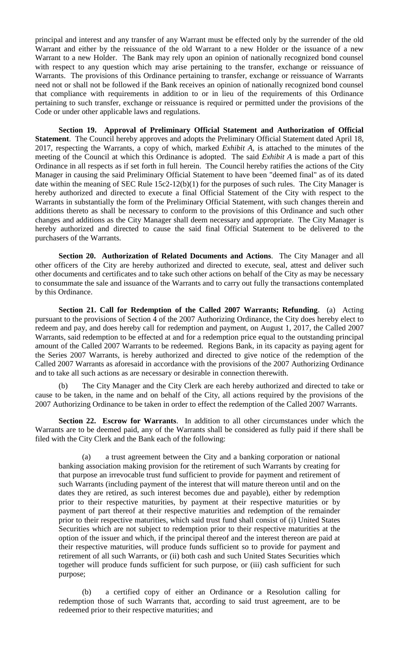principal and interest and any transfer of any Warrant must be effected only by the surrender of the old Warrant and either by the reissuance of the old Warrant to a new Holder or the issuance of a new Warrant to a new Holder. The Bank may rely upon an opinion of nationally recognized bond counsel with respect to any question which may arise pertaining to the transfer, exchange or reissuance of Warrants. The provisions of this Ordinance pertaining to transfer, exchange or reissuance of Warrants need not or shall not be followed if the Bank receives an opinion of nationally recognized bond counsel that compliance with requirements in addition to or in lieu of the requirements of this Ordinance pertaining to such transfer, exchange or reissuance is required or permitted under the provisions of the Code or under other applicable laws and regulations.

**Section 19. Approval of Preliminary Official Statement and Authorization of Official Statement**. The Council hereby approves and adopts the Preliminary Official Statement dated April 18, 2017, respecting the Warrants, a copy of which, marked *Exhibit A*, is attached to the minutes of the meeting of the Council at which this Ordinance is adopted. The said *Exhibit A* is made a part of this Ordinance in all respects as if set forth in full herein. The Council hereby ratifies the actions of the City Manager in causing the said Preliminary Official Statement to have been "deemed final" as of its dated date within the meaning of SEC Rule 15c2-12(b)(1) for the purposes of such rules. The City Manager is hereby authorized and directed to execute a final Official Statement of the City with respect to the Warrants in substantially the form of the Preliminary Official Statement, with such changes therein and additions thereto as shall be necessary to conform to the provisions of this Ordinance and such other changes and additions as the City Manager shall deem necessary and appropriate. The City Manager is hereby authorized and directed to cause the said final Official Statement to be delivered to the purchasers of the Warrants.

**Section 20. Authorization of Related Documents and Actions**. The City Manager and all other officers of the City are hereby authorized and directed to execute, seal, attest and deliver such other documents and certificates and to take such other actions on behalf of the City as may be necessary to consummate the sale and issuance of the Warrants and to carry out fully the transactions contemplated by this Ordinance.

**Section 21. Call for Redemption of the Called 2007 Warrants; Refunding**. (a) Acting pursuant to the provisions of Section 4 of the 2007 Authorizing Ordinance, the City does hereby elect to redeem and pay, and does hereby call for redemption and payment, on August 1, 2017, the Called 2007 Warrants, said redemption to be effected at and for a redemption price equal to the outstanding principal amount of the Called 2007 Warrants to be redeemed. Regions Bank, in its capacity as paying agent for the Series 2007 Warrants, is hereby authorized and directed to give notice of the redemption of the Called 2007 Warrants as aforesaid in accordance with the provisions of the 2007 Authorizing Ordinance and to take all such actions as are necessary or desirable in connection therewith.

The City Manager and the City Clerk are each hereby authorized and directed to take or cause to be taken, in the name and on behalf of the City, all actions required by the provisions of the 2007 Authorizing Ordinance to be taken in order to effect the redemption of the Called 2007 Warrants.

**Section 22. Escrow for Warrants**. In addition to all other circumstances under which the Warrants are to be deemed paid, any of the Warrants shall be considered as fully paid if there shall be filed with the City Clerk and the Bank each of the following:

(a) a trust agreement between the City and a banking corporation or national banking association making provision for the retirement of such Warrants by creating for that purpose an irrevocable trust fund sufficient to provide for payment and retirement of such Warrants (including payment of the interest that will mature thereon until and on the dates they are retired, as such interest becomes due and payable), either by redemption prior to their respective maturities, by payment at their respective maturities or by payment of part thereof at their respective maturities and redemption of the remainder prior to their respective maturities, which said trust fund shall consist of (i) United States Securities which are not subject to redemption prior to their respective maturities at the option of the issuer and which, if the principal thereof and the interest thereon are paid at their respective maturities, will produce funds sufficient so to provide for payment and retirement of all such Warrants, or (ii) both cash and such United States Securities which together will produce funds sufficient for such purpose, or (iii) cash sufficient for such purpose;

(b) a certified copy of either an Ordinance or a Resolution calling for redemption those of such Warrants that, according to said trust agreement, are to be redeemed prior to their respective maturities; and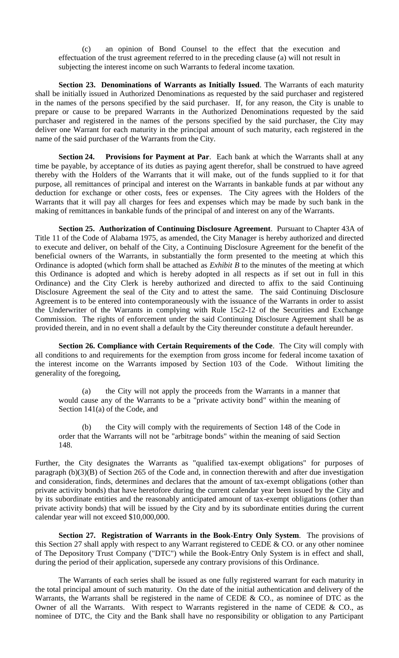(c) an opinion of Bond Counsel to the effect that the execution and effectuation of the trust agreement referred to in the preceding clause (a) will not result in subjecting the interest income on such Warrants to federal income taxation.

**Section 23. Denominations of Warrants as Initially Issued**. The Warrants of each maturity shall be initially issued in Authorized Denominations as requested by the said purchaser and registered in the names of the persons specified by the said purchaser. If, for any reason, the City is unable to prepare or cause to be prepared Warrants in the Authorized Denominations requested by the said purchaser and registered in the names of the persons specified by the said purchaser, the City may deliver one Warrant for each maturity in the principal amount of such maturity, each registered in the name of the said purchaser of the Warrants from the City.

**Section 24. Provisions for Payment at Par**. Each bank at which the Warrants shall at any time be payable, by acceptance of its duties as paying agent therefor, shall be construed to have agreed thereby with the Holders of the Warrants that it will make, out of the funds supplied to it for that purpose, all remittances of principal and interest on the Warrants in bankable funds at par without any deduction for exchange or other costs, fees or expenses. The City agrees with the Holders of the Warrants that it will pay all charges for fees and expenses which may be made by such bank in the making of remittances in bankable funds of the principal of and interest on any of the Warrants.

**Section 25. Authorization of Continuing Disclosure Agreement**. Pursuant to Chapter 43A of Title 11 of the Code of Alabama 1975, as amended, the City Manager is hereby authorized and directed to execute and deliver, on behalf of the City, a Continuing Disclosure Agreement for the benefit of the beneficial owners of the Warrants, in substantially the form presented to the meeting at which this Ordinance is adopted (which form shall be attached as *Exhibit B* to the minutes of the meeting at which this Ordinance is adopted and which is hereby adopted in all respects as if set out in full in this Ordinance) and the City Clerk is hereby authorized and directed to affix to the said Continuing Disclosure Agreement the seal of the City and to attest the same. The said Continuing Disclosure Agreement is to be entered into contemporaneously with the issuance of the Warrants in order to assist the Underwriter of the Warrants in complying with Rule 15c2-12 of the Securities and Exchange Commission. The rights of enforcement under the said Continuing Disclosure Agreement shall be as provided therein, and in no event shall a default by the City thereunder constitute a default hereunder.

**Section 26. Compliance with Certain Requirements of the Code**. The City will comply with all conditions to and requirements for the exemption from gross income for federal income taxation of the interest income on the Warrants imposed by Section 103 of the Code. Without limiting the generality of the foregoing,

(a) the City will not apply the proceeds from the Warrants in a manner that would cause any of the Warrants to be a "private activity bond" within the meaning of Section 141(a) of the Code, and

(b) the City will comply with the requirements of Section 148 of the Code in order that the Warrants will not be "arbitrage bonds" within the meaning of said Section 148.

Further, the City designates the Warrants as "qualified tax-exempt obligations" for purposes of paragraph (b)(3)(B) of Section 265 of the Code and, in connection therewith and after due investigation and consideration, finds, determines and declares that the amount of tax-exempt obligations (other than private activity bonds) that have heretofore during the current calendar year been issued by the City and by its subordinate entities and the reasonably anticipated amount of tax-exempt obligations (other than private activity bonds) that will be issued by the City and by its subordinate entities during the current calendar year will not exceed \$10,000,000.

**Section 27. Registration of Warrants in the Book-Entry Only System**. The provisions of this Section 27 shall apply with respect to any Warrant registered to CEDE & CO. or any other nominee of The Depository Trust Company ("DTC") while the Book-Entry Only System is in effect and shall, during the period of their application, supersede any contrary provisions of this Ordinance.

The Warrants of each series shall be issued as one fully registered warrant for each maturity in the total principal amount of such maturity. On the date of the initial authentication and delivery of the Warrants, the Warrants shall be registered in the name of CEDE  $\&$  CO., as nominee of DTC as the Owner of all the Warrants. With respect to Warrants registered in the name of CEDE & CO., as nominee of DTC, the City and the Bank shall have no responsibility or obligation to any Participant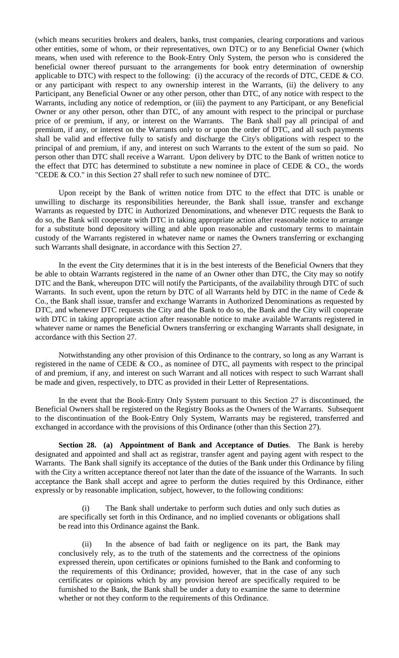(which means securities brokers and dealers, banks, trust companies, clearing corporations and various other entities, some of whom, or their representatives, own DTC) or to any Beneficial Owner (which means, when used with reference to the Book-Entry Only System, the person who is considered the beneficial owner thereof pursuant to the arrangements for book entry determination of ownership applicable to DTC) with respect to the following: (i) the accuracy of the records of DTC, CEDE & CO. or any participant with respect to any ownership interest in the Warrants, (ii) the delivery to any Participant, any Beneficial Owner or any other person, other than DTC, of any notice with respect to the Warrants, including any notice of redemption, or (iii) the payment to any Participant, or any Beneficial Owner or any other person, other than DTC, of any amount with respect to the principal or purchase price of or premium, if any, or interest on the Warrants. The Bank shall pay all principal of and premium, if any, or interest on the Warrants only to or upon the order of DTC, and all such payments shall be valid and effective fully to satisfy and discharge the City's obligations with respect to the principal of and premium, if any, and interest on such Warrants to the extent of the sum so paid. No person other than DTC shall receive a Warrant. Upon delivery by DTC to the Bank of written notice to the effect that DTC has determined to substitute a new nominee in place of CEDE & CO., the words "CEDE & CO." in this Section 27 shall refer to such new nominee of DTC.

Upon receipt by the Bank of written notice from DTC to the effect that DTC is unable or unwilling to discharge its responsibilities hereunder, the Bank shall issue, transfer and exchange Warrants as requested by DTC in Authorized Denominations, and whenever DTC requests the Bank to do so, the Bank will cooperate with DTC in taking appropriate action after reasonable notice to arrange for a substitute bond depository willing and able upon reasonable and customary terms to maintain custody of the Warrants registered in whatever name or names the Owners transferring or exchanging such Warrants shall designate, in accordance with this Section 27.

In the event the City determines that it is in the best interests of the Beneficial Owners that they be able to obtain Warrants registered in the name of an Owner other than DTC, the City may so notify DTC and the Bank, whereupon DTC will notify the Participants, of the availability through DTC of such Warrants. In such event, upon the return by DTC of all Warrants held by DTC in the name of Cede & Co., the Bank shall issue, transfer and exchange Warrants in Authorized Denominations as requested by DTC, and whenever DTC requests the City and the Bank to do so, the Bank and the City will cooperate with DTC in taking appropriate action after reasonable notice to make available Warrants registered in whatever name or names the Beneficial Owners transferring or exchanging Warrants shall designate, in accordance with this Section 27.

Notwithstanding any other provision of this Ordinance to the contrary, so long as any Warrant is registered in the name of CEDE & CO., as nominee of DTC, all payments with respect to the principal of and premium, if any, and interest on such Warrant and all notices with respect to such Warrant shall be made and given, respectively, to DTC as provided in their Letter of Representations.

In the event that the Book-Entry Only System pursuant to this Section 27 is discontinued, the Beneficial Owners shall be registered on the Registry Books as the Owners of the Warrants. Subsequent to the discontinuation of the Book-Entry Only System, Warrants may be registered, transferred and exchanged in accordance with the provisions of this Ordinance (other than this Section 27).

**Section 28. (a) Appointment of Bank and Acceptance of Duties**. The Bank is hereby designated and appointed and shall act as registrar, transfer agent and paying agent with respect to the Warrants. The Bank shall signify its acceptance of the duties of the Bank under this Ordinance by filing with the City a written acceptance thereof not later than the date of the issuance of the Warrants. In such acceptance the Bank shall accept and agree to perform the duties required by this Ordinance, either expressly or by reasonable implication, subject, however, to the following conditions:

(i) The Bank shall undertake to perform such duties and only such duties as are specifically set forth in this Ordinance, and no implied covenants or obligations shall be read into this Ordinance against the Bank.

(ii) In the absence of bad faith or negligence on its part, the Bank may conclusively rely, as to the truth of the statements and the correctness of the opinions expressed therein, upon certificates or opinions furnished to the Bank and conforming to the requirements of this Ordinance; provided, however, that in the case of any such certificates or opinions which by any provision hereof are specifically required to be furnished to the Bank, the Bank shall be under a duty to examine the same to determine whether or not they conform to the requirements of this Ordinance.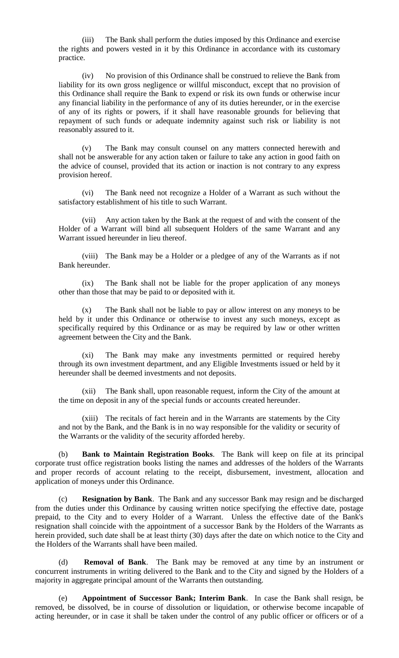(iii) The Bank shall perform the duties imposed by this Ordinance and exercise the rights and powers vested in it by this Ordinance in accordance with its customary practice.

(iv) No provision of this Ordinance shall be construed to relieve the Bank from liability for its own gross negligence or willful misconduct, except that no provision of this Ordinance shall require the Bank to expend or risk its own funds or otherwise incur any financial liability in the performance of any of its duties hereunder, or in the exercise of any of its rights or powers, if it shall have reasonable grounds for believing that repayment of such funds or adequate indemnity against such risk or liability is not reasonably assured to it.

(v) The Bank may consult counsel on any matters connected herewith and shall not be answerable for any action taken or failure to take any action in good faith on the advice of counsel, provided that its action or inaction is not contrary to any express provision hereof.

(vi) The Bank need not recognize a Holder of a Warrant as such without the satisfactory establishment of his title to such Warrant.

(vii) Any action taken by the Bank at the request of and with the consent of the Holder of a Warrant will bind all subsequent Holders of the same Warrant and any Warrant issued hereunder in lieu thereof.

(viii) The Bank may be a Holder or a pledgee of any of the Warrants as if not Bank hereunder.

(ix) The Bank shall not be liable for the proper application of any moneys other than those that may be paid to or deposited with it.

(x) The Bank shall not be liable to pay or allow interest on any moneys to be held by it under this Ordinance or otherwise to invest any such moneys, except as specifically required by this Ordinance or as may be required by law or other written agreement between the City and the Bank.

(xi) The Bank may make any investments permitted or required hereby through its own investment department, and any Eligible Investments issued or held by it hereunder shall be deemed investments and not deposits.

(xii) The Bank shall, upon reasonable request, inform the City of the amount at the time on deposit in any of the special funds or accounts created hereunder.

(xiii) The recitals of fact herein and in the Warrants are statements by the City and not by the Bank, and the Bank is in no way responsible for the validity or security of the Warrants or the validity of the security afforded hereby.

(b) **Bank to Maintain Registration Books**. The Bank will keep on file at its principal corporate trust office registration books listing the names and addresses of the holders of the Warrants and proper records of account relating to the receipt, disbursement, investment, allocation and application of moneys under this Ordinance.

(c) **Resignation by Bank**. The Bank and any successor Bank may resign and be discharged from the duties under this Ordinance by causing written notice specifying the effective date, postage prepaid, to the City and to every Holder of a Warrant. Unless the effective date of the Bank's resignation shall coincide with the appointment of a successor Bank by the Holders of the Warrants as herein provided, such date shall be at least thirty (30) days after the date on which notice to the City and the Holders of the Warrants shall have been mailed.

(d) **Removal of Bank**. The Bank may be removed at any time by an instrument or concurrent instruments in writing delivered to the Bank and to the City and signed by the Holders of a majority in aggregate principal amount of the Warrants then outstanding.

(e) **Appointment of Successor Bank; Interim Bank**. In case the Bank shall resign, be removed, be dissolved, be in course of dissolution or liquidation, or otherwise become incapable of acting hereunder, or in case it shall be taken under the control of any public officer or officers or of a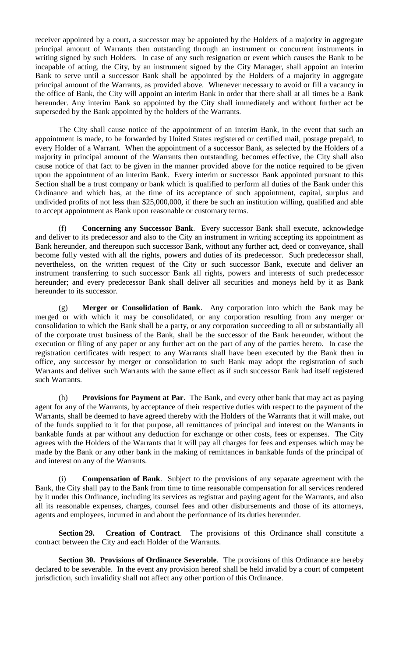receiver appointed by a court, a successor may be appointed by the Holders of a majority in aggregate principal amount of Warrants then outstanding through an instrument or concurrent instruments in writing signed by such Holders. In case of any such resignation or event which causes the Bank to be incapable of acting, the City, by an instrument signed by the City Manager, shall appoint an interim Bank to serve until a successor Bank shall be appointed by the Holders of a majority in aggregate principal amount of the Warrants, as provided above. Whenever necessary to avoid or fill a vacancy in the office of Bank, the City will appoint an interim Bank in order that there shall at all times be a Bank hereunder. Any interim Bank so appointed by the City shall immediately and without further act be superseded by the Bank appointed by the holders of the Warrants.

The City shall cause notice of the appointment of an interim Bank, in the event that such an appointment is made, to be forwarded by United States registered or certified mail, postage prepaid, to every Holder of a Warrant. When the appointment of a successor Bank, as selected by the Holders of a majority in principal amount of the Warrants then outstanding, becomes effective, the City shall also cause notice of that fact to be given in the manner provided above for the notice required to be given upon the appointment of an interim Bank. Every interim or successor Bank appointed pursuant to this Section shall be a trust company or bank which is qualified to perform all duties of the Bank under this Ordinance and which has, at the time of its acceptance of such appointment, capital, surplus and undivided profits of not less than \$25,000,000, if there be such an institution willing, qualified and able to accept appointment as Bank upon reasonable or customary terms.

(f) **Concerning any Successor Bank**. Every successor Bank shall execute, acknowledge and deliver to its predecessor and also to the City an instrument in writing accepting its appointment as Bank hereunder, and thereupon such successor Bank, without any further act, deed or conveyance, shall become fully vested with all the rights, powers and duties of its predecessor. Such predecessor shall, nevertheless, on the written request of the City or such successor Bank, execute and deliver an instrument transferring to such successor Bank all rights, powers and interests of such predecessor hereunder; and every predecessor Bank shall deliver all securities and moneys held by it as Bank hereunder to its successor.

(g) **Merger or Consolidation of Bank**. Any corporation into which the Bank may be merged or with which it may be consolidated, or any corporation resulting from any merger or consolidation to which the Bank shall be a party, or any corporation succeeding to all or substantially all of the corporate trust business of the Bank, shall be the successor of the Bank hereunder, without the execution or filing of any paper or any further act on the part of any of the parties hereto. In case the registration certificates with respect to any Warrants shall have been executed by the Bank then in office, any successor by merger or consolidation to such Bank may adopt the registration of such Warrants and deliver such Warrants with the same effect as if such successor Bank had itself registered such Warrants.

(h) **Provisions for Payment at Par**. The Bank, and every other bank that may act as paying agent for any of the Warrants, by acceptance of their respective duties with respect to the payment of the Warrants, shall be deemed to have agreed thereby with the Holders of the Warrants that it will make, out of the funds supplied to it for that purpose, all remittances of principal and interest on the Warrants in bankable funds at par without any deduction for exchange or other costs, fees or expenses. The City agrees with the Holders of the Warrants that it will pay all charges for fees and expenses which may be made by the Bank or any other bank in the making of remittances in bankable funds of the principal of and interest on any of the Warrants.

(i) **Compensation of Bank**. Subject to the provisions of any separate agreement with the Bank, the City shall pay to the Bank from time to time reasonable compensation for all services rendered by it under this Ordinance, including its services as registrar and paying agent for the Warrants, and also all its reasonable expenses, charges, counsel fees and other disbursements and those of its attorneys, agents and employees, incurred in and about the performance of its duties hereunder.

**Section 29. Creation of Contract**. The provisions of this Ordinance shall constitute a contract between the City and each Holder of the Warrants.

**Section 30. Provisions of Ordinance Severable**. The provisions of this Ordinance are hereby declared to be severable. In the event any provision hereof shall be held invalid by a court of competent jurisdiction, such invalidity shall not affect any other portion of this Ordinance.